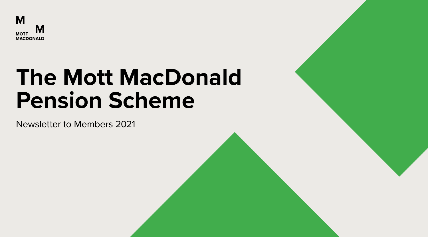

# **The Mott MacDonald Pension Scheme**

Newsletter to Members 2021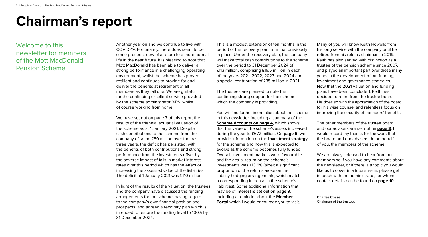# **Chairman's report**

Welcome to this newsletter for members of the Mott MacDonald Pension Scheme.

Another year on and we continue to live with COVID-19. Fortunately, there does seem to be some prospect now of a return to a more normal life in the near future. It is pleasing to note that Mott MacDonald has been able to deliver a strong performance in a challenging operating environment, whilst the scheme has proven resilient and continues to provide for and deliver the benefits at retirement of all members as they fall due. We are grateful for the continuing excellent service provided by the scheme administrator, XPS, whilst of course working from home.

We have set out on page 7 of this report the results of the triennial actuarial valuation of the scheme as at 1 January 2021. Despite cash contributions to the scheme from the company of some £50 million over the past three years, the deficit has persisted, with the benefits of both contributions and strong performance from the investments offset by the adverse impact of falls in market interest rates over this period which has the effect of increasing the assessed value of the liabilities. The deficit at 1 January 2021 was £110 million.

In light of the results of the valuation, the trustees and the company have discussed the funding arrangements for the scheme, having regard to the company's own financial position and prospects, and agreed a recovery plan which is intended to restore the funding level to 100% by 31 December 2024.

This is a modest extension of ten months in the period of the recovery plan from that previously in place. Under the recovery plan, the company will make total cash contributions to the scheme over the period to 31 December 2024 of £113 million, comprising £19.5 million in each of the years 2021, 2022, 2023 and 2024 and a special contribution of £35 million in 2021.

The trustees are pleased to note the continuing strong support for the scheme which the company is providing.

You will find further information about the scheme in this newsletter, including a summary of the **[Scheme Accounts on page 4](#page-3-0), which shows** that the value of the scheme's assets increased during the year to £672 million. On **[page 5](#page-4-0)**, we provide information on the **investment strategy** for the scheme and how this is expected to evolve as the scheme becomes fully funded. Overall, investment markets were favourable and the actual return on the scheme's investments was +13.6% (albeit a significant proportion of the returns arose on the liability hedging arrangements, which match a corresponding increase in the scheme's liabilities). Some additional information that may be of interest is set out on **[page 9](#page-8-0)**, including a reminder about the **Member Portal** which I would encourage you to visit.

Many of you will know Keith Howells from his long service with the company until he retired from his role as chairman in 2019. Keith has also served with distinction as a trustee of the pension scheme since 2007, and played an important part over these many years in the development of our funding, investment and governance strategies. Now that the 2021 valuation and funding plans have been concluded, Keith has decided to retire from the trustee board. He does so with the appreciation of the board for his wise counsel and relentless focus on improving the security of members' benefits.

The other members of the trustee board and our advisers are set out on **[page 3](#page-2-0)**. I would record my thanks for the work that the board and our advisers do on behalf of you, the members of the scheme.

We are always pleased to hear from our members so if you have any comments about the newsletter, or if there is a topic you would like us to cover in a future issue, please get in touch with the administrator, for whom contact details can be found on **[page 10](#page-9-0)**.

**Charles Coase** Chairman of the trustees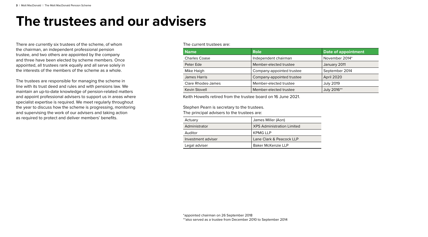# <span id="page-2-0"></span>**The trustees and our advisers**

There are currently six trustees of the scheme, of whom the chairman, an independent professional pension trustee, and two others are appointed by the company and three have been elected by scheme members. Once appointed, all trustees rank equally and all serve solely in the interests of the members of the scheme as a whole.

The trustees are responsible for managing the scheme in line with its trust deed and rules and with pensions law. We maintain an up-to-date knowledge of pension-related matters and appoint professional advisers to support us in areas where specialist expertise is required. We meet regularly throughout the year to discuss how the scheme is progressing, monitoring and supervising the work of our advisers and taking action as required to protect and deliver members' benefits.

#### The current trustees are:

| <b>Name</b>               | <b>Role</b>               | Date of appointment |
|---------------------------|---------------------------|---------------------|
| <b>Charles Coase</b>      | Independent chairman      | November 2014*      |
| Peter Ede                 | Member-elected trustee    | January 2011        |
| Mike Haigh                | Company-appointed trustee | September 2014      |
| James Harris              | Company-appointed trustee | April 2020          |
| <b>Clare Rhodes-James</b> | Member-elected trustee    | <b>July 2019</b>    |
| Kevin Stovell             | Member-elected trustee    | July 2016**         |

Keith Howells retired from the trustee board on 16 June 2021.

# Stephen Pearn is secretary to the trustees.

The principal advisers to the trustees are:

| Actuary            | James Miller (Aon)                |
|--------------------|-----------------------------------|
| Administrator      | <b>XPS Administration Limited</b> |
| Auditor            | <b>KPMG LLP</b>                   |
| Investment adviser | Lane Clark & Peacock LLP          |
| Legal adviser      | Baker McKenzie LLP                |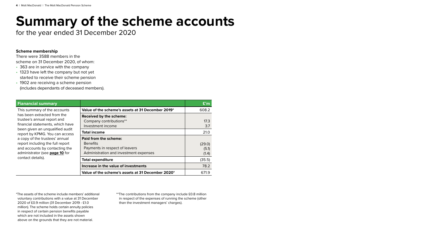# <span id="page-3-0"></span>**Summary of the scheme accounts**

for the year ended 31 December 2020

# **Scheme membership**

There were 3588 members in the scheme on 31 December 2020, of whom:

- 363 are in service with the company
- 1323 have left the company but not yet started to receive their scheme pension
- 1902 are receiving a scheme pension (includes dependants of deceased members).

| <b>Fianancial summary</b>                                                                                                                                                                                                                                                                                                                                          |                                                                                                                             | E'm                      |
|--------------------------------------------------------------------------------------------------------------------------------------------------------------------------------------------------------------------------------------------------------------------------------------------------------------------------------------------------------------------|-----------------------------------------------------------------------------------------------------------------------------|--------------------------|
| This summary of the accounts<br>has been extracted from the<br>trustee's annual report and<br>financial statements, which have<br>been given an ungualified audit<br>report by KPMG. You can access<br>a copy of the trustees' annual<br>report including the full report<br>and accounts by contacting the<br>administrator (see page 10 for<br>contact details). | Value of the scheme's assets at 31 December 2019*                                                                           | 608.2                    |
|                                                                                                                                                                                                                                                                                                                                                                    | <b>Received by the scheme:</b><br>Company contributions**<br>Investment income                                              | 17.3<br>3.7              |
|                                                                                                                                                                                                                                                                                                                                                                    | <b>Total income</b>                                                                                                         | 21.0                     |
|                                                                                                                                                                                                                                                                                                                                                                    | <b>Paid from the scheme:</b><br><b>Benefits</b><br>Payments in respect of leavers<br>Administration and investment expenses | (29.0)<br>(5.1)<br>(1.4) |
|                                                                                                                                                                                                                                                                                                                                                                    | <b>Total expenditure</b>                                                                                                    | (35.5)                   |
|                                                                                                                                                                                                                                                                                                                                                                    | Increase in the value of investments                                                                                        | 78.2                     |
|                                                                                                                                                                                                                                                                                                                                                                    | Value of the scheme's assets at 31 December 2020*                                                                           | 671.9                    |

\*The assets of the scheme include members' additional voluntary contributions with a value at 31 December 2020 of £0.9 million (31 December 2019 - £1.0 million). The scheme holds certain annuity policies in respect of certain pension benefits payable which are not included in the assets shown above on the grounds that they are not material.

\*\*The contributions from the company include £0.8 million in respect of the expenses of running the scheme (other than the investment managers' charges).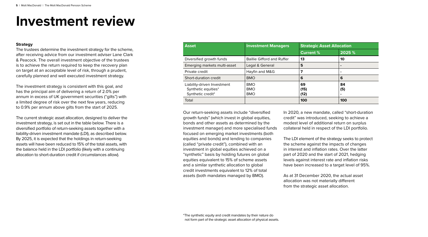# <span id="page-4-0"></span>**Investment review**

### **Strategy**

The trustees determine the investment strategy for the scheme, after receiving advice from our investment adviser Lane Clark & Peacock. The overall investment objective of the trustees is to achieve the return required to keep the recovery plan on target at an acceptable level of risk, through a prudent, carefully planned and well executed investment strategy.

The investment strategy is consistent with this goal, and has the principal aim of delivering a return of 2.0% per annum in excess of UK government securities ("gilts") with a limited degree of risk over the next few years, reducing to 0.9% per annum above gilts from the start of 2025.

The current strategic asset allocation, designed to deliver the investment strategy, is set out in the table below. There is a diversified portfolio of return-seeking assets together with a liability-driven investment mandate (LDI), as described below. By 2025, it is expected that the holdings in return-seeking assets will have been reduced to 15% of the total assets, with the balance held in the LDI portfolio (likely with a continuing allocation to short-duration credit if circumstances allow).

| <b>Asset</b>                                                            | <b>Investment Managers</b>             | <b>Strategic Asset Allocation</b> |                |
|-------------------------------------------------------------------------|----------------------------------------|-----------------------------------|----------------|
|                                                                         |                                        | <b>Current %</b>                  | 2025 %         |
| Diversified growth funds                                                | <b>Baillie Gifford and Ruffer</b>      | 13                                | 10             |
| Emerging markets multi-asset                                            | Legal & General                        | 5                                 | $\blacksquare$ |
| Private credit                                                          | Hayfin and M&G                         |                                   | $\blacksquare$ |
| Short-duration credit                                                   | <b>BMO</b>                             | 6                                 | 6              |
| Liability-driven Investment<br>Synthetic equities*<br>Synthetic credit* | <b>BMO</b><br><b>BMO</b><br><b>BMO</b> | 69<br>(15)<br>(12)                | 84<br>(5)<br>٠ |
| Total                                                                   |                                        | 100                               | 100            |

Our return-seeking assets include "diversified growth funds" (which invest in global equities, bonds and other assets as determined by the investment manager) and more specialised funds focused on emerging market investments (both equities and bonds) and lending to companies (called "private credit"), combined with an investment in global equities achieved on a "synthetic" basis by holding futures on global equities equivalent to 15% of scheme assets and a similar synthetic allocation to global credit investments equivalent to 12% of total assets (both mandates managed by BMO).

In 2020, a new mandate, called "short-duration credit" was introduced, seeking to achieve a modest level of additional return on surplus collateral held in respect of the LDI portfolio.

The LDI element of the strategy seeks to protect the scheme against the impacts of changes in interest and inflation rates. Over the latter part of 2020 and the start of 2021, hedging levels against interest rate and inflation risks have been increased to a target level of 95%.

As at 31 December 2020, the actual asset allocation was not materially different from the strategic asset allocation.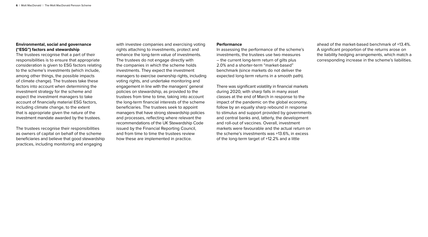# **Environmental, social and governance ("ESG") factors and stewardship**

The trustees recognise that a part of their responsibilities is to ensure that appropriate consideration is given to ESG factors relating to the scheme's investments (which include, among other things, the possible impacts of climate change). The trustees take these factors into account when determining the investment strategy for the scheme and expect the investment managers to take account of financially material ESG factors, including climate change, to the extent that is appropriate given the nature of the investment mandate awarded by the trustees.

The trustees recognise their responsibilities as owners of capital on behalf of the scheme beneficiaries and believe that good stewardship practices, including monitoring and engaging

with investee companies and exercising voting rights attaching to investments, protect and enhance the long-term value of investments. The trustees do not engage directly with the companies in which the scheme holds investments. They expect the investment managers to exercise ownership rights, including voting rights, and undertake monitoring and engagement in line with the managers' general policies on stewardship, as provided to the trustees from time to time, taking into account the long-term financial interests of the scheme beneficiaries. The trustees seek to appoint managers that have strong stewardship policies and processes, reflecting where relevant the recommendations of the UK Stewardship Code issued by the Financial Reporting Council, and from time to time the trustees review how these are implemented in practice.

#### **Performance**

In assessing the performance of the scheme's investments, the trustees use two measures – the current long-term return of gilts plus 2.0% and a shorter-term "market-based" benchmark (since markets do not deliver the expected long-term returns in a smooth path).

There was significant volatility in financial markets during 2020, with sharp falls in many asset classes at the end of March in response to the impact of the pandemic on the global economy, follow by an equally sharp rebound in response to stimulus and support provided by governments and central banks and, latterly, the development and roll-out of vaccines. Overall, investment markets were favourable and the actual return on the scheme's investments was +13.6%, in excess of the long-term target of +12.2% and a little

ahead of the market-based benchmark of +13.4%. A significant proportion of the returns arose on the liability hedging arrangements, which match a corresponding increase in the scheme's liabilities.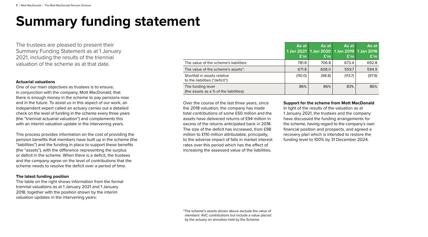# **Summary funding statement**

The trustees are pleased to present their Summary Funding Statement as at 1 January 2021, including the results of the triennial valuation of the scheme as at that date.

#### **Actuarial valuations**

One of our main objectives as trustees is to ensure, in conjunction with the company, Mott MacDonald, that there is enough money in the scheme to pay pensions now and in the future. To assist us in this aspect of our work, an independent expert called an actuary carries out a detailed check on the level of funding in the scheme every three years (the "triennial actuarial valuation") and complements this with an interim valuation update in the intervening years.

This process provides information on the cost of providing the pension benefits that members have built up in the scheme (the "liabilities") and the funding in place to support these benefits (the "assets"), with the difference representing the surplus or deficit in the scheme. When there is a deficit, the trustees and the company agree on the level of contributions that the scheme needs to resolve the deficit over a period of time.

# **The latest funding position**

The table on the right shows information from the formal triennial valuations as at 1 January 2021 and 1 January 2018, together with the position shown by the interim valuation updates in the intervening years:

|                                                                 | As at<br>1 Jan 2021  <br>E'm | As at I<br>1 Jan 2020   1 Jan 2019   1 Jan 2018<br>E'm | As at<br>E'm | As at<br>E'm |
|-----------------------------------------------------------------|------------------------------|--------------------------------------------------------|--------------|--------------|
| The value of the scheme's liabilities:                          | 781.8                        | 706.8                                                  | 673.4        | 692.8        |
| The value of the scheme's assets <sup>*</sup> :                 | 671.8                        | 608.0                                                  | 559.7        | 594.9        |
| Shortfall in assets relative<br>to the liabilities ("deficit"): | (110.0)                      | (98.8)                                                 | (113.7)      | (97.9)       |
| The funding level<br>(the assets as a % of the liabilities):    | 86%                          | 86%                                                    | 83%          | 86%          |

Over the course of the last three years, since the 2018 valuation, the company has made total contributions of some £50 million and the assets have delivered returns of £94 million in excess of the returns anticipated back in 2018. The size of the deficit has increased, from £98 million to £110 million attributable, principally, to the adverse impact of falls in market interest rates over this period which has the effect of increasing the assessed value of the liabilities.

#### **Support for the scheme from Mott MacDonald**

In light of the results of the valuation as at 1 January 2021, the trustees and the company have discussed the funding arrangements for the scheme, having regard to the company's own financial position and prospects, and agreed a recovery plan which is intended to restore the funding level to 100% by 31 December 2024.

\*The scheme's assets shown above exclude the value of members' AVC contributions but include a value placed by the actuary on annuities held by the Scheme.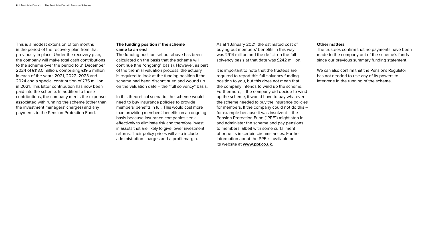This is a modest extension of ten months in the period of the recovery plan from that previously in place. Under the recovery plan, the company will make total cash contributions to the scheme over the period to 31 December 2024 of £113.0 million, comprising £19.5 million in each of the years 2021, 2022, 2023 and 2024 and a special contribution of £35 million in 2021. This latter contribution has now been paid into the scheme. In addition to these contributions, the company meets the expenses associated with running the scheme (other than the investment managers' charges) and any payments to the Pension Protection Fund.

### **The funding position if the scheme came to an end**

The funding position set out above has been calculated on the basis that the scheme will continue (the "ongoing" basis). However, as part of the triennial valuation process, the actuary is required to look at the funding position if the scheme had been discontinued and wound up on the valuation date – the "full solvency" basis.

In this theoretical scenario, the scheme would need to buy insurance policies to provide members' benefits in full. This would cost more than providing members' benefits on an ongoing basis because insurance companies seek effectively to eliminate risk and therefore invest in assets that are likely to give lower investment returns. Their policy prices will also include administration charges and a profit margin.

As at 1 January 2021, the estimated cost of buying out members' benefits in this way was £914 million and the deficit on the fullsolvency basis at that date was £242 million.

It is important to note that the trustees are required to report this full-solvency funding position to you, but this does not mean that the company intends to wind up the scheme. Furthermore, if the company did decide to wind up the scheme, it would have to pay whatever the scheme needed to buy the insurance policies for members. If the company could not do this – for example because it was insolvent – the Pension Protection Fund ("PPF") might step in and administer the scheme and pay pensions to members, albeit with some curtailment of benefits in certain circumstances. Further information about the PPF is available on its website at **[www.ppf.co.uk](http://www.ppf.co.uk)**.

#### **Other matters**

The trustees confirm that no payments have been made to the company out of the scheme's funds since our previous summary funding statement.

We can also confirm that the Pensions Regulator has not needed to use any of its powers to intervene in the running of the scheme.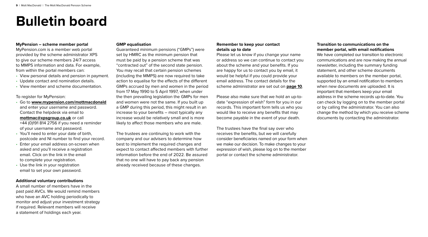# <span id="page-8-0"></span>**Bulletin board**

#### **MyPension – scheme member portal**

MyPension.com is a member web portal provided by the scheme administrator XPS to give our scheme members 24/7 access to MMPS information and data. For example, from within the portal members can:

- View personal details and pension in payment.
- Update contact and nomination details.
- View member and scheme documentation.

To register for MyPension:

- Go to **[www.mypension.com/mottmacdonald](http://www.mypension.com/mottmacdonald)** and enter your username and password. Contact the helpdesk via email to **[mottmac@xpsgroup.co.uk](mailto:mottmac%40xpsgroup.co.uk?subject=)** or call +44 (0)191 814 2756 if you need a reminder of your username and password.
- You'll need to enter your date of birth, postcode and NI number to find your record.
- Enter your email address on-screen when asked and you'll receive a registration email. Click on the link in the email to complete your registration.
- Use the link in your registration email to set your own password.

## **Additional voluntary contributions**

A small number of members have in the past paid AVCs. We would remind members who have an AVC holding periodically to monitor and adjust your investment strategy if required. Relevant members will receive a statement of holdings each year.

### **GMP equalisation**

Guaranteed minimum pensions ("GMPs") were set by HMRC as the minimum pension that must be paid by a pension scheme that was "contracted out" of the second state pension. You may recall that certain pension schemes (including the MMPS) are now required to take action to equalise for the effects of the different GMPs accrued by men and women in the period from 17 May 1990 to 5 April 1997, when under the then prevailing legislation the GMPs for men and women were not the same. If you built up a GMP during this period, this might result in an increase to your benefits – most typically any increase would be relatively small and is more likely to affect those members who are male.

The trustees are continuing to work with the company and our advisers to determine how best to implement the required changes and expect to contact affected members with further information before the end of 2022. Be assured that no one will have to pay back any pension already received because of these changes.

### **Remember to keep your contact details up to date**

Please let us know if you change your name or address so we can continue to contact you about the scheme and your benefits. If you are happy for us to contact you by email, it would be helpful if you could provide your email address. The contact details for the scheme administrator are set out on **[page 10](#page-9-0)**.

Please also make sure that we hold an up-todate "expression of wish" form for you in our records. This important form tells us who you would like to receive any benefits that may become payable in the event of your death.

The trustees have the final say over who receives the benefits, but we will carefully consider beneficiaries named on your form when we make our decision. To make changes to your expression of wish, please log on to the member portal or contact the scheme administrator.

# **Transition to communications on the member portal, with email notifications**

We have completed our transition to electronic communications and are now making the annual newsletter, including the summary funding statement, and other scheme documents available to members on the member portal, supported by an email notification to members when new documents are uploaded. It is important that members keep your email address in the scheme records up-to-date. You can check by logging on to the member portal or by calling the administrator. You can also change the method by which you receive scheme documents by contacting the administrator.